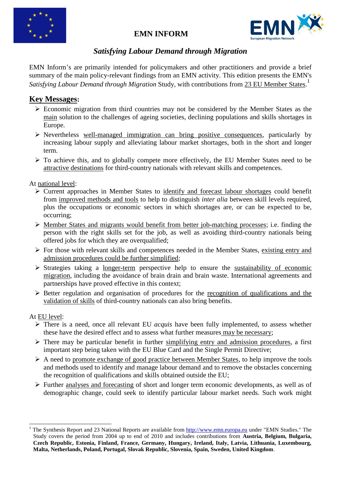

# **EMN INFORM**



# *Satisfying Labour Demand through Migration*

EMN Inform"s are primarily intended for policymakers and other practitioners and provide a brief summary of the main policy-relevant findings from an EMN activity. This edition presents the EMN's *Satisfying Labour Demand through Migration* Study, with contributions from 23 EU Member States. 1

# **Key Messages:**

- Economic migration from third countries may not be considered by the Member States as the main solution to the challenges of ageing societies, declining populations and skills shortages in Europe.
- $\triangleright$  Nevertheless well-managed immigration can bring positive consequences, particularly by increasing labour supply and alleviating labour market shortages, both in the short and longer term.
- To achieve this, and to globally compete more effectively, the EU Member States need to be attractive destinations for third-country nationals with relevant skills and competences.

At national level:

- $\triangleright$  Current approaches in Member States to identify and forecast labour shortages could benefit from improved methods and tools to help to distinguish *inter alia* between skill levels required, plus the occupations or economic sectors in which shortages are, or can be expected to be, occurring;
- $\triangleright$  Member States and migrants would benefit from better job-matching processes; i.e. finding the person with the right skills set for the job, as well as avoiding third-country nationals being offered jobs for which they are overqualified;
- $\triangleright$  For those with relevant skills and competences needed in the Member States, existing entry and admission procedures could be further simplified;
- $\triangleright$  Strategies taking a longer-term perspective help to ensure the sustainability of economic migration, including the avoidance of brain drain and brain waste. International agreements and partnerships have proved effective in this context;
- $\triangleright$  Better regulation and organisation of procedures for the recognition of qualifications and the validation of skills of third-country nationals can also bring benefits.

### At EU level:

1

- $\triangleright$  There is a need, once all relevant EU *acquis* have been fully implemented, to assess whether these have the desired effect and to assess what further measures may be necessary;
- $\triangleright$  There may be particular benefit in further simplifying entry and admission procedures, a first important step being taken with the EU Blue Card and the Single Permit Directive;
- $\triangleright$  A need to promote exchange of good practice between Member States, to help improve the tools and methods used to identify and manage labour demand and to remove the obstacles concerning the recognition of qualifications and skills obtained outside the EU;
- Further analyses and forecasting of short and longer term economic developments, as well as of demographic change, could seek to identify particular labour market needs. Such work might

<sup>1</sup> The Synthesis Report and 23 National Reports are available from [http://www.emn.europa.eu](http://www.emn.europa.eu/) under "EMN Studies." The Study covers the period from 2004 up to end of 2010 and includes contributions from **Austria, Belgium, Bulgaria, Czech Republic, Estonia, Finland, France, Germany, Hungary, Ireland, Italy, Latvia, Lithuania, Luxembourg, Malta, Netherlands, Poland, Portugal, Slovak Republic, Slovenia, Spain, Sweden, United Kingdom**.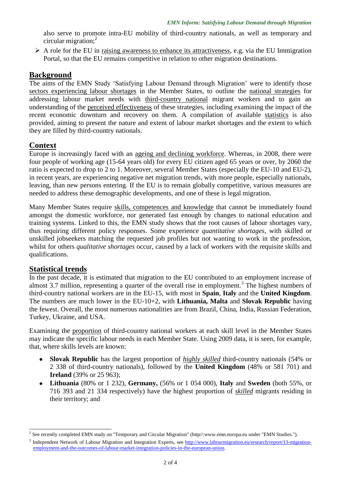also serve to promote intra-EU mobility of third-country nationals, as well as temporary and circular migration; $<sup>2</sup>$ </sup>

 $\triangleright$  A role for the EU in raising awareness to enhance its attractiveness, e.g. via the EU Immigration Portal, so that the EU remains competitive in relation to other migration destinations.

### **Background**

The aims of the EMN Study 'Satisfying Labour Demand through Migration' were to identify those sectors experiencing labour shortages in the Member States, to outline the national strategies for addressing labour market needs with third-country national migrant workers and to gain an understanding of the perceived effectiveness of these strategies, including examining the impact of the recent economic downturn and recovery on them. A compilation of available statistics is also provided, aiming to present the nature and extent of labour market shortages and the extent to which they are filled by third-country nationals.

## **Context**

Europe is increasingly faced with an ageing and declining workforce. Whereas, in 2008, there were four people of working age (15-64 years old) for every EU citizen aged 65 years or over, by 2060 the ratio is expected to drop to 2 to 1. Moreover, several Member States (especially the EU-10 and EU-2), in recent years, are experiencing negative net migration trends, with more people, especially nationals, leaving, than new persons entering. If the EU is to remain globally competitive, various measures are needed to address these demographic developments, and one of these is legal migration.

Many Member States require skills, competences and knowledge that cannot be immediately found amongst the domestic workforce, nor generated fast enough by changes to national education and training systems. Linked to this, the EMN study shows that the root causes of labour shortages vary, thus requiring different policy responses. Some experience *quantitative shortages*, with skilled or unskilled jobseekers matching the requested job profiles but not wanting to work in the profession, whilst for others *qualitative shortages* occur, caused by a lack of workers with the requisite skills and qualifications.

### **Statistical trends**

1

In the past decade, it is estimated that migration to the EU contributed to an employment increase of almost 3.7 million, representing a quarter of the overall rise in employment.<sup>3</sup> The highest numbers of third-country national workers are in the EU-15, with most in **Spain**, **Italy** and the **United Kingdom**. The numbers are much lower in the EU-10+2, with **Lithuania, Malta** and **Slovak Republic** having the fewest. Overall, the most numerous nationalities are from Brazil, China, India, Russian Federation, Turkey, Ukraine, and USA.

Examining the proportion of third-country national workers at each skill level in the Member States may indicate the specific labour needs in each Member State. Using 2009 data, it is seen, for example, that, where skills levels are known:

- **Slovak Republic** has the largest proportion of *highly skilled* third-country nationals (54% or  $\bullet$ 2 338 of third-country nationals), followed by the **United Kingdom** (48% or 581 701) and **Ireland** (39% or 25 963);
- **Lithuania** (80% or 1 232), **Germany,** (56% or 1 054 000), **Italy** and **Sweden** (both 55%, or 716 393 and 21 334 respectively) have the highest proportion of *skilled* migrants residing in their territory; and

<sup>&</sup>lt;sup>2</sup> See recently completed EMN study on "Temporary and Circular Migration" (http//:www.emn.europa.eu under "EMN Studies.").

<sup>&</sup>lt;sup>3</sup> Independent Network of Labour Migration and Integration Experts, see [http://www.labourmigration.eu/research/report/13-migration](http://www.labourmigration.eu/research/report/13-migration-employment-and-the-outcomes-of-labour-market-integration-policies-in-the-european-union)[employment-and-the-outcomes-of-labour-market-integration-policies-in-the-european-union.](http://www.labourmigration.eu/research/report/13-migration-employment-and-the-outcomes-of-labour-market-integration-policies-in-the-european-union)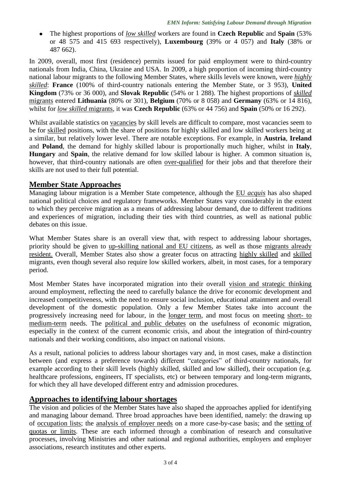The highest proportions of *low skilled* workers are found in **Czech Republic** and **Spain** (53% or 48 575 and 415 693 respectively), **Luxembourg** (39% or 4 057) and **Italy** (38% or 487 662).

In 2009, overall, most first (residence) permits issued for paid employment were to third-country nationals from India, China, Ukraine and USA. In 2009, a high proportion of incoming third-country national labour migrants to the following Member States, where skills levels were known, were *highly skilled*: **France** (100% of third-country nationals entering the Member State, or 3 953), **United Kingdom** (73% or 36 000), and **Slovak Republic** (54% or 1 288). The highest proportions of *skilled* migrants entered **Lithuania** (80% or 301), **Belgium** (70% or 8 058) and **Germany** (63% or 14 816), whilst for *low skilled* migrants, it was **Czech Republic** (63% or 44 756) and **Spain** (50% or 16 292).

Whilst available statistics on vacancies by skill levels are difficult to compare, most vacancies seem to be for skilled positions, with the share of positions for highly skilled and low skilled workers being at a similar, but relatively lower level. There are notable exceptions. For example, in **Austria**, **Ireland** and **Poland**, the demand for highly skilled labour is proportionally much higher, whilst in **Italy**, **Hungary** and **Spain**, the relative demand for low skilled labour is higher. A common situation is, however, that third-country nationals are often over-qualified for their jobs and that therefore their skills are not used to their full potential.

### **Member State Approaches**

Managing labour migration is a Member State competence, although the EU *acquis* has also shaped national political choices and regulatory frameworks. Member States vary considerably in the extent to which they perceive migration as a means of addressing labour demand, due to different traditions and experiences of migration, including their ties with third countries, as well as national public debates on this issue.

What Member States share is an overall view that, with respect to addressing labour shortages, priority should be given to up-skilling national and EU citizens, as well as those migrants already resident. Overall, Member States also show a greater focus on attracting highly skilled and skilled migrants, even though several also require low skilled workers, albeit, in most cases, for a temporary period.

Most Member States have incorporated migration into their overall vision and strategic thinking around employment, reflecting the need to carefully balance the drive for economic development and increased competitiveness, with the need to ensure social inclusion, educational attainment and overall development of the domestic population. Only a few Member States take into account the progressively increasing need for labour, in the longer term, and most focus on meeting short- to medium-term needs. The political and public debates on the usefulness of economic migration, especially in the context of the current economic crisis, and about the integration of third-country nationals and their working conditions, also impact on national visions.

As a result, national policies to address labour shortages vary and, in most cases, make a distinction between (and express a preference towards) different "categories" of third-country nationals, for example according to their skill levels (highly skilled, skilled and low skilled), their occupation (e.g. healthcare professions, engineers, IT specialists, etc) or between temporary and long-term migrants, for which they all have developed different entry and admission procedures.

### **Approaches to identifying labour shortages**

The vision and policies of the Member States have also shaped the approaches applied for identifying and managing labour demand. Three broad approaches have been identified, namely: the drawing up of occupation lists; the analysis of employer needs on a more case-by-case basis; and the setting of quotas or limits. These are each informed through a combination of research and consultative processes, involving Ministries and other national and regional authorities, employers and employer associations, research institutes and other experts.